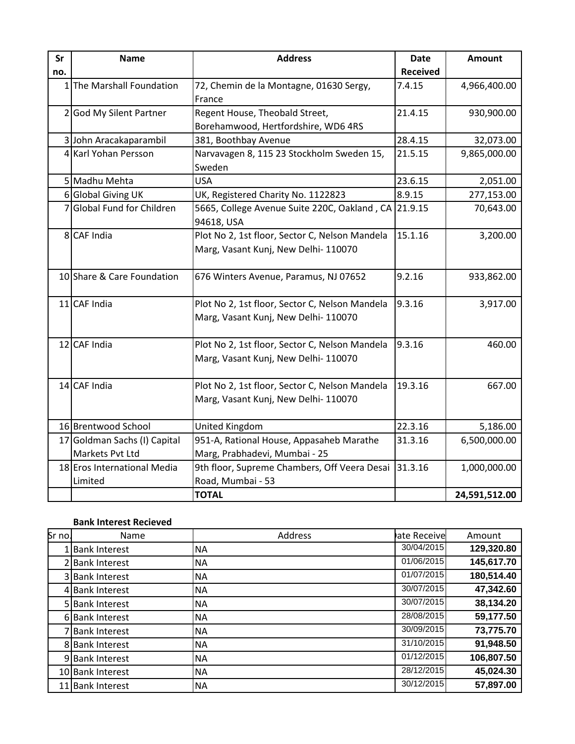| Sr  | <b>Name</b>                  | <b>Address</b>                                      | <b>Date</b>     | <b>Amount</b> |
|-----|------------------------------|-----------------------------------------------------|-----------------|---------------|
| no. |                              |                                                     | <b>Received</b> |               |
|     | 1 The Marshall Foundation    | 72, Chemin de la Montagne, 01630 Sergy,             | 7.4.15          | 4,966,400.00  |
|     |                              | France                                              |                 |               |
|     | 2 God My Silent Partner      | Regent House, Theobald Street,                      | 21.4.15         | 930,900.00    |
|     |                              | Borehamwood, Hertfordshire, WD6 4RS                 |                 |               |
|     | 3 John Aracakaparambil       | 381, Boothbay Avenue                                | 28.4.15         | 32,073.00     |
|     | 4 Karl Yohan Persson         | Narvavagen 8, 115 23 Stockholm Sweden 15,<br>Sweden | 21.5.15         | 9,865,000.00  |
|     | 5 Madhu Mehta                | <b>USA</b>                                          | 23.6.15         | 2,051.00      |
|     | 6 Global Giving UK           | UK, Registered Charity No. 1122823                  | 8.9.15          | 277,153.00    |
|     | Global Fund for Children     | 5665, College Avenue Suite 220C, Oakland, CA        | 21.9.15         | 70,643.00     |
|     |                              | 94618, USA                                          |                 |               |
|     | 8 CAF India                  | Plot No 2, 1st floor, Sector C, Nelson Mandela      | 15.1.16         | 3,200.00      |
|     |                              | Marg, Vasant Kunj, New Delhi- 110070                |                 |               |
|     |                              |                                                     |                 |               |
|     | 10 Share & Care Foundation   | 676 Winters Avenue, Paramus, NJ 07652               | 9.2.16          | 933,862.00    |
|     |                              |                                                     |                 |               |
|     | $11$ CAF India               | Plot No 2, 1st floor, Sector C, Nelson Mandela      | 9.3.16          | 3,917.00      |
|     |                              | Marg, Vasant Kunj, New Delhi- 110070                |                 |               |
|     |                              |                                                     |                 |               |
|     | 12 CAF India                 | Plot No 2, 1st floor, Sector C, Nelson Mandela      | 9.3.16          | 460.00        |
|     |                              | Marg, Vasant Kunj, New Delhi- 110070                |                 |               |
|     | 14 CAF India                 | Plot No 2, 1st floor, Sector C, Nelson Mandela      | 19.3.16         | 667.00        |
|     |                              | Marg, Vasant Kunj, New Delhi- 110070                |                 |               |
|     |                              |                                                     |                 |               |
|     | 16 Brentwood School          | United Kingdom                                      | 22.3.16         | 5,186.00      |
|     | 17 Goldman Sachs (I) Capital | 951-A, Rational House, Appasaheb Marathe            | 31.3.16         | 6,500,000.00  |
|     | Markets Pvt Ltd              | Marg, Prabhadevi, Mumbai - 25                       |                 |               |
|     | 18 Eros International Media  | 9th floor, Supreme Chambers, Off Veera Desai        | 31.3.16         | 1,000,000.00  |
|     | Limited                      | Road, Mumbai - 53                                   |                 |               |
|     |                              | <b>TOTAL</b>                                        |                 | 24,591,512.00 |

## **Bank Interest Recieved**

| Sr no. | Name                 | Address   | ate Receive | Amount     |
|--------|----------------------|-----------|-------------|------------|
|        | <b>Bank Interest</b> | <b>NA</b> | 30/04/2015  | 129,320.80 |
|        | 2 Bank Interest      | <b>NA</b> | 01/06/2015  | 145,617.70 |
|        | 3 Bank Interest      | <b>NA</b> | 01/07/2015  | 180,514.40 |
|        | 4 Bank Interest      | <b>NA</b> | 30/07/2015  | 47,342.60  |
|        | 5 Bank Interest      | <b>NA</b> | 30/07/2015  | 38,134.20  |
|        | 6 Bank Interest      | <b>NA</b> | 28/08/2015  | 59,177.50  |
|        | 7 Bank Interest      | <b>NA</b> | 30/09/2015  | 73,775.70  |
|        | 8 Bank Interest      | <b>NA</b> | 31/10/2015  | 91,948.50  |
|        | 9 Bank Interest      | <b>NA</b> | 01/12/2015  | 106,807.50 |
|        | 10 Bank Interest     | <b>NA</b> | 28/12/2015  | 45,024.30  |
| 11     | <b>Bank Interest</b> | <b>NA</b> | 30/12/2015  | 57,897.00  |